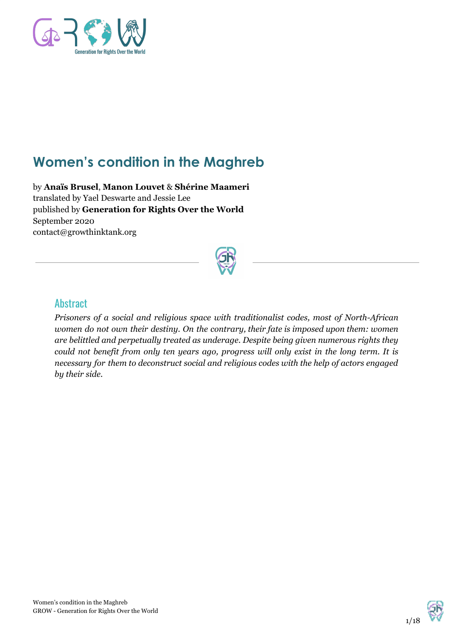

# **Women's condition in the Maghreb**

by **Anaïs Brusel**, **Manon Louvet** & **Shérine Maameri** translated by Yael Deswarte and Jessie Lee published by **Generation for Rights Over the World** September 2020 contact@growthinktank.org



## **Abstract**

*Prisoners of a social and religious space with traditionalist codes, most of North-African women do not own their destiny. On the contrary, their fate is imposed upon them: women are belittled and perpetually treated as underage. Despite being given numerous rights they could not benefit from only ten years ago, progress will only exist in the long term. It is necessary for them to deconstruct social and religious codes with the help of actors engaged by their side.*

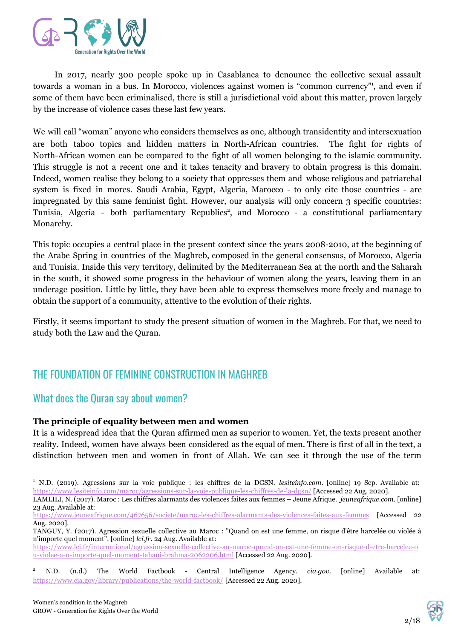

In 2017, nearly 300 people spoke up in Casablanca to denounce the collective sexual assault towards a woman in a bus. In Morocco, violences against women is "common currency"<sup>1</sup>, and even if some of them have been criminalised, there is still a jurisdictional void about this matter, proven largely by the increase of violence cases these last few years.

We will call "woman" anyone who considers themselves as one, although transidentity and intersexuation are both taboo topics and hidden matters in North-African countries. The fight for rights of North-African women can be compared to the fight of all women belonging to the islamic community. This struggle is not a recent one and it takes tenacity and bravery to obtain progress is this domain. Indeed, women realise they belong to a society that oppresses them and whose religious and patriarchal system is fixed in mores. Saudi Arabia, Egypt, Algeria, Marocco - to only cite those countries - are impregnated by this same feminist fight. However, our analysis will only concern 3 specific countries: Tunisia, Algeria - both parliamentary Republics<sup>2</sup>, and Morocco - a constitutional parliamentary Monarchy.

This topic occupies a central place in the present context since the years 2008-2010, at the beginning of the Arabe Spring in countries of the Maghreb, composed in the general consensus, of Morocco, Algeria and Tunisia. Inside this very territory, delimited by the Mediterranean Sea at the north and the Saharah in the south, it showed some progress in the behaviour of women along the years, leaving them in an underage position. Little by little, they have been able to express themselves more freely and manage to obtain the support of a community, attentive to the evolution of their rights.

Firstly, it seems important to study the present situation of women in the Maghreb. For that, we need to study both the Law and the Quran.

## THE FOUNDATION OF FEMININE CONSTRUCTION IN MAGHREB

## What does the Quran say about women?

#### **The principle of equality between men and women**

It is a widespread idea that the Quran affirmed men as superior to women. Yet, the texts present another reality. Indeed, women have always been considered as the equal of men. There is first of all in the text, a distinction between men and women in front of Allah. We can see it through the use of the term

[https://www.lci.fr/international/agression-sexuelle-collective-au-maroc-quand-on-est-une-femme-on-risque-d-etre-harcelee-o](https://www.lci.fr/international/agression-sexuelle-collective-au-maroc-quand-on-est-une-femme-on-risque-d-etre-harcelee-ou-violee-a-n-importe-quel-moment-tahani-brahma-2062206.html) [u-violee-a-n-importe-quel-moment-tahani-brahma-2062206.html](https://www.lci.fr/international/agression-sexuelle-collective-au-maroc-quand-on-est-une-femme-on-risque-d-etre-harcelee-ou-violee-a-n-importe-quel-moment-tahani-brahma-2062206.html) [Accessed 22 Aug. 2020].



<sup>1</sup> N.D. (2019). Agressions sur la voie publique : les chiffres de la DGSN. *lesiteinfo.com*. [online] 19 Sep. Available at: <https://www.lesiteinfo.com/maroc/agressions-sur-la-voie-publique-les-chiffres-de-la-dgsn/> [Accessed 22 Aug. 2020]. LAMLILI, N. (2017). Maroc : Les chiffres alarmants des violences faites aux femmes – Jeune Afrique. *jeuneafrique.com.* [online]

<sup>23</sup> Aug. Available at:

<https://www.jeuneafrique.com/467656/societe/maroc-les-chiffres-alarmants-des-violences-faites-aux-femmes> [Accessed 22 Aug. 2020].

TANGUY, Y. (2017). Agression sexuelle collective au Maroc : "Quand on est une femme, on risque d'être harcelée ou violée à n'importe quel moment". [online] *lci.fr*. 24 Aug. Available at:

<sup>2</sup> N.D. (n.d.) The World Factbook - Central Intelligence Agency. *cia.gov*. [online] Available at: <https://www.cia.gov/library/publications/the-world-factbook/> [Accessed 22 Aug. 2020].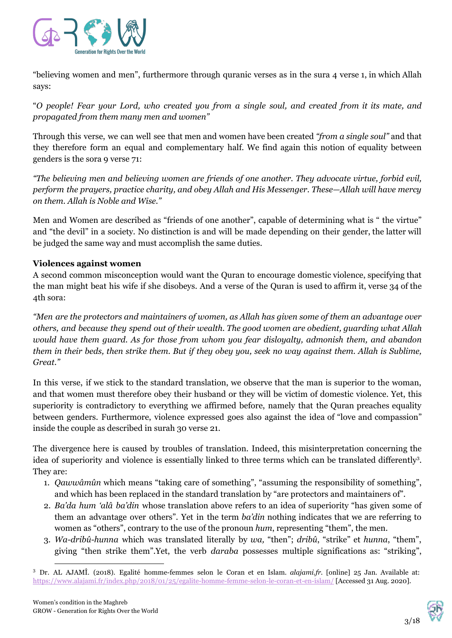

"believing women and men", furthermore through quranic verses as in the sura 4 verse 1, in which Allah says:

"O people! Fear your Lord, who created you from a single soul, and created from it its mate, and *propagated from them many men and women"*

Through this verse, we can well see that men and women have been created *"from a single soul"* and that they therefore form an equal and complementary half. We find again this notion of equality between genders is the sora 9 verse 71:

*"The believing men and believing women are friends of one another. They advocate virtue, forbid evil, perform the prayers, practice charity, and obey Allah and His Messenger. These—Allah will have mercy on them. Allah is Noble and Wise."*

Men and Women are described as "friends of one another", capable of determining what is " the virtue" and "the devil" in a society. No distinction is and will be made depending on their gender, the latter will be judged the same way and must accomplish the same duties.

#### **Violences against women**

A second common misconception would want the Quran to encourage domestic violence, specifying that the man might beat his wife if she disobeys. And a verse of the Quran is used to affirm it, verse 34 of the 4th sora:

"Men are the protectors and maintainers of women, as Allah has given some of them an advantage over *others, and because they spend out of their wealth. The good women are obedient, guarding what Allah would have them guard. As for those from whom you fear disloyalty, admonish them, and abandon* them in their beds, then strike them. But if they obey you, seek no way against them. Allah is Sublime, *Great."*

In this verse, if we stick to the standard translation, we observe that the man is superior to the woman, and that women must therefore obey their husband or they will be victim of domestic violence. Yet, this superiority is contradictory to everything we affirmed before, namely that the Quran preaches equality between genders. Furthermore, violence expressed goes also against the idea of "love and compassion" inside the couple as described in surah 30 verse 21.

The divergence here is caused by troubles of translation. Indeed, this misinterpretation concerning the idea of superiority and violence is essentially linked to three terms which can be translated differently<sup>3</sup>. They are:

- 1. *Qawwâmûn* which means "taking care of something", "assuming the responsibility of something", and which has been replaced in the standard translation by "are protectors and maintainers of".
- 2. *Ba'da hum 'alâ ba'din* whose translation above refers to an idea of superiority "has given some of them an advantage over others". Yet in the term *ba'din* nothing indicates that we are referring to women as "others", contrary to the use of the pronoun *hum*, representing "them", the men.
- 3. *Wa-dribû-hunna* which was translated literally by *wa,* "then"; *dribû*, "strike" et *hunna*, "them", giving "then strike them".Yet, the verb *daraba* possesses multiple significations as: "striking",



<sup>3</sup> Dr. AL AJAMÎ. (2018). Egalité homme-femmes selon le Coran et en Islam. *alajami.fr.* [online] 25 Jan. Available at: <https://www.alajami.fr/index.php/2018/01/25/egalite-homme-femme-selon-le-coran-et-en-islam/> [Accessed 31 Aug. 2020].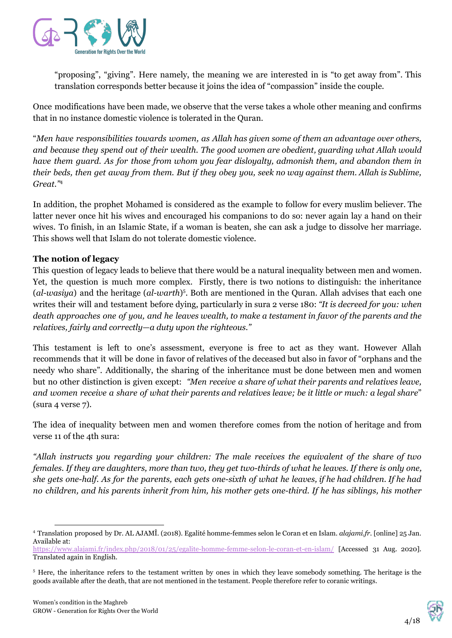

"proposing", "giving". Here namely, the meaning we are interested in is "to get away from". This translation corresponds better because it joins the idea of "compassion" inside the couple.

Once modifications have been made, we observe that the verse takes a whole other meaning and confirms that in no instance domestic violence is tolerated in the Quran.

"*Men have responsibilities towards women, as Allah has given some of them an advantage over others, and because they spend out of their wealth. The good women are obedient, guarding what Allah would have them guard. As for those from whom you fear disloyalty, admonish them, and abandon them in* their beds, then get away from them. But if they obey you, seek no way against them. Allah is Sublime, *Great."* 4

In addition, the prophet Mohamed is considered as the example to follow for every muslim believer. The latter never once hit his wives and encouraged his companions to do so: never again lay a hand on their wives. To finish, in an Islamic State, if a woman is beaten, she can ask a judge to dissolve her marriage. This shows well that Islam do not tolerate domestic violence.

#### **The notion of legacy**

This question of legacy leads to believe that there would be a natural inequality between men and women. Yet, the question is much more complex. Firstly, there is two notions to distinguish: the inheritance (*al-wasiya*) and the heritage (*al-warth*)<sup>5</sup>. Both are mentioned in the Quran. Allah advises that each one writes their will and testament before dying, particularly in sura 2 verse 180: *"It is decreed for you: when* death approaches one of you, and he leaves wealth, to make a testament in favor of the parents and the *relatives, fairly and correctly—a duty upon the righteous."*

This testament is left to one's assessment, everyone is free to act as they want. However Allah recommends that it will be done in favor of relatives of the deceased but also in favor of "orphans and the needy who share"*.* Additionally, the sharing of the inheritance must be done between men and women but no other distinction is given except: *"Men receive a share of what their parents and relatives leave,* and women receive a share of what their parents and relatives leave; be it little or much: a legal share" (sura 4 verse 7).

The idea of inequality between men and women therefore comes from the notion of heritage and from verse 11 of the 4th sura:

*"Allah instructs you regarding your children: The male receives the equivalent of the share of two* females. If they are daughters, more than two, they get two-thirds of what he leaves. If there is only one, she gets one-half. As for the parents, each gets one-sixth of what he leaves, if he had children. If he had no children, and his parents inherit from him, his mother gets one-third. If he has siblings, his mother



<sup>4</sup> Translation proposed by Dr. AL AJAMÎ. (2018). Egalité homme-femmes selon le Coran et en Islam. *alajami.fr.* [online] 25 Jan. Available at:

<https://www.alajami.fr/index.php/2018/01/25/egalite-homme-femme-selon-le-coran-et-en-islam/> [Accessed 31 Aug. 2020]. Translated again in English.

<sup>5</sup> Here, the inheritance refers to the testament written by ones in which they leave somebody something. The heritage is the goods available after the death, that are not mentioned in the testament. People therefore refer to coranic writings.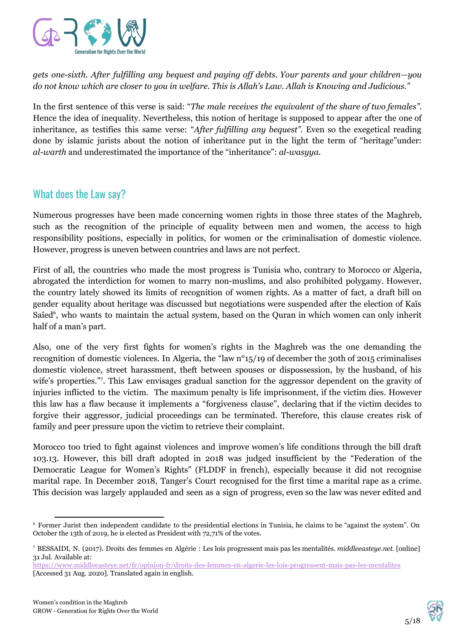

*gets one-sixth. After fulfilling any bequest and paying of debts. Your parents and your children—you* do not know which are closer to you in welfare. This is Allah's Law. Allah is Knowing and Judicious."

In the first sentence of this verse is said: "*The male receives the equivalent of the share of two females".* Hence the idea of inequality. Nevertheless, this notion of heritage is supposed to appear after the one of inheritance, as testifies this same verse: "*After fulfilling any bequest".* Even so the exegetical reading done by islamic jurists about the notion of inheritance put in the light the term of "heritage"under: *al-warth* and underestimated the importance of the "inheritance": *al-wasyya*.

## What does the Law say?

Numerous progresses have been made concerning women rights in those three states of the Maghreb, such as the recognition of the principle of equality between men and women, the access to high responsibility positions, especially in politics, for women or the criminalisation of domestic violence. However, progress is uneven between countries and laws are not perfect.

First of all, the countries who made the most progress is Tunisia who, contrary to Morocco or Algeria, abrogated the interdiction for women to marry non-muslims, and also prohibited polygamy. However, the country lately showed its limits of recognition of women rights. As a matter of fact, a draft bill on gender equality about heritage was discussed but negotiations were suspended after the election of Kaïs Saïed<sup>6</sup>, who wants to maintain the actual system, based on the Quran in which women can only inherit half of a man's part.

Also, one of the very first fights for women's rights in the Maghreb was the one demanding the recognition of domestic violences. In Algeria, the "law n°15/19 of december the 30th of 2015 criminalises domestic violence, street harassment, theft between spouses or dispossession, by the husband, of his wife's properties."<sup>7</sup>. This Law envisages gradual sanction for the aggressor dependent on the gravity of injuries inflicted to the victim. The maximum penalty is life imprisonment, if the victim dies. However this law has a flaw because it implements a "forgiveness clause", declaring that if the victim decides to forgive their aggressor, judicial proceedings can be terminated. Therefore, this clause creates risk of family and peer pressure upon the victim to retrieve their complaint.

Morocco too tried to fight against violences and improve women's life conditions through the bill draft 103.13. However, this bill draft adopted in 2018 was judged insufficient by the "Federation of the Democratic League for Women's Rights" (FLDDF in french), especially because it did not recognise marital rape. In December 2018, Tanger's Court recognised for the first time a marital rape as a crime. This decision was largely applauded and seen as a sign of progress, even so the law was never edited and



<sup>6</sup> Former Jurist then independent candidate to the presidential elections in Tunisia, he claims to be "against the system". On October the 13th of 2019, he is elected as President with 72,71% of the votes.

<sup>7</sup> BESSAIDI, N. (2017). Droits des femmes en Algérie : Les lois progressent mais pas les mentalités. *[middleeasteye.net.](https://www.middleeasteye.net/fr/opinion-fr/droits-des-femmes-en-algerie-les-lois-progressent-mais-pas-les-mentalites)* [online] 31 Jul. Available at:

<https://www.middleeasteye.net/fr/opinion-fr/droits-des-femmes-en-algerie-les-lois-progressent-mais-pas-les-mentalites> [Accessed 31 Aug. 2020]. Translated again in english.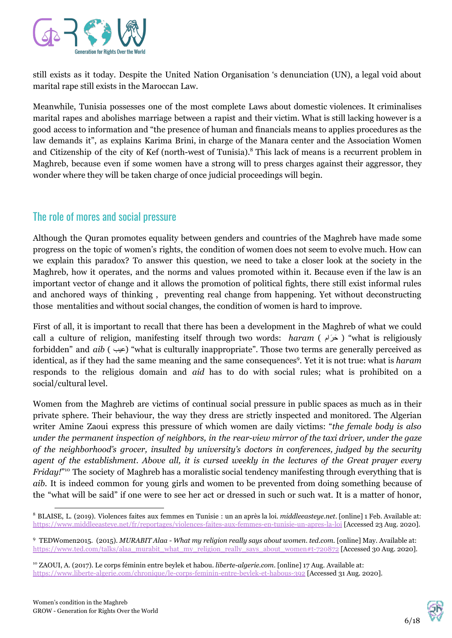

still exists as it today. Despite the United Nation Organisation 's denunciation (UN), a legal void about marital rape still exists in the Maroccan Law.

Meanwhile, Tunisia possesses one of the most complete Laws about domestic violences. It criminalises marital rapes and abolishes marriage between a rapist and their victim. What is still lacking however is a good access to information and "the presence of human and financials means to applies procedures as the law demands it", as explains Karima Brini, in charge of the Manara center and the Association Women and Citizenship of the city of Kef (north-west of Tunisia).<sup>8</sup> This lack of means is a recurrent problem in Maghreb, because even if some women have a strong will to press charges against their aggressor, they wonder where they will be taken charge of once judicial proceedings will begin.

## The role of mores and social pressure

Although the Quran promotes equality between genders and countries of the Maghreb have made some progress on the topic of women's rights, the condition of women does not seem to evolve much. How can we explain this paradox? To answer this question, we need to take a closer look at the society in the Maghreb, how it operates, and the norms and values promoted within it. Because even if the law is an important vector of change and it allows the promotion of political fights, there still exist informal rules and anchored ways of thinking , preventing real change from happening. Yet without deconstructing those mentalities and without social changes, the condition of women is hard to improve.

First of all, it is important to recall that there has been a development in the Maghreb of what we could call a culture of religion, manifesting itself through two words: *haram* ( حَرَام ) "what is religiously forbidden" and *aib* ( عیب" (what is culturally inappropriate". Those two terms are generally perceived as identical, as if they had the same meaning and the same consequences 9 . Yet it is not true: what is *haram* responds to the religious domain and *aid* has to do with social rules; what is prohibited on a social/cultural level.

Women from the Maghreb are victims of continual social pressure in public spaces as much as in their private sphere. Their behaviour, the way they dress are strictly inspected and monitored. The Algerian writer Amine Zaoui express this pressure of which women are daily victims: "*the female body is also under the permanent inspection of neighbors, in the rear-view mirror of the taxi driver, under the gaze of the neighborhood's grocer, insulted by university's doctors in conferences, judged by the security* agent of the establishment. Above all, it is cursed weekly in the lectures of the Great prayer every *Friday!*"<sup>10</sup> The society of Maghreb has a moralistic social tendency manifesting through everything that is *aib.* It is indeed common for young girls and women to be prevented from doing something because of the "what will be said" if one were to see her act or dressed in such or such wat. It is a matter of honor,



<sup>8</sup> BLAISE, L. (2019). Violences faites aux femmes en Tunisie : un an après la loi. *middleeasteye.net*. [online] 1 Feb. Available at: <https://www.middleeasteye.net/fr/reportages/violences-faites-aux-femmes-en-tunisie-un-apres-la-loi> [Accessed 23 Aug. 2020].

<sup>9</sup> TEDWomen2015. (2015). *MURABIT Alaa - What my religion really says about women*. *ted.com.* [online] May. Available at: [https://www.ted.com/talks/alaa\\_murabit\\_what\\_my\\_religion\\_really\\_says\\_about\\_women#t-720872](https://www.ted.com/talks/alaa_murabit_what_my_religion_really_says_about_women#t-720872) [Accessed 30 Aug. 2020].

<sup>10</sup> ZAOUI, A. (2017). Le corps féminin entre beylek et habou. *liberte-algerie.com.* [online] 17 Aug. Available at: <https://www.liberte-algerie.com/chronique/le-corps-feminin-entre-beylek-et-habous-392> [Accessed 31 Aug. 2020].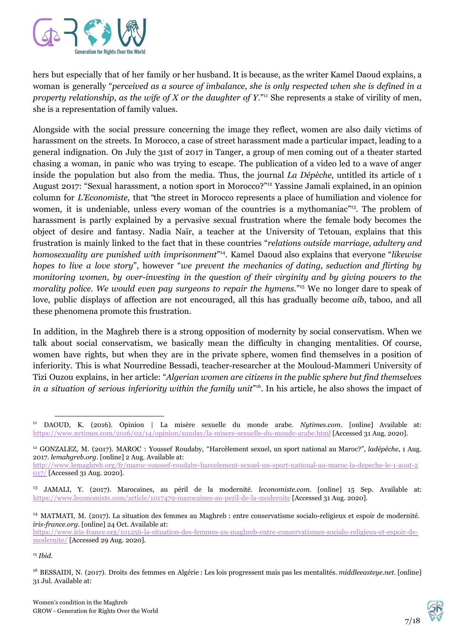

hers but especially that of her family or her husband. It is because, as the writer Kamel Daoud explains, a woman is generally "*perceived as a source of imbalance, she is only respected when she is defined in a property relationship, as the wife of X or the daughter of Y.*" She represents a stake of virility of men, 11 she is a representation of family values.

Alongside with the social pressure concerning the image they reflect, women are also daily victims of harassment on the streets. In Morocco, a case of street harassment made a particular impact, leading to a general indignation. On July the 31st of 2017 in Tanger, a group of men coming out of a theater started chasing a woman, in panic who was trying to escape. The publication of a video led to a wave of anger inside the population but also from the media. Thus, the journal *La Dépèche*, untitled its article of 1 August 2017: "Sexual harassment, a notion sport in Morocco?"<sup>12</sup> Yassine Jamali explained, in an opinion column for *L'Economiste,* that *"*the street in Morocco represents a place of humiliation and violence for women, it is undeniable, unless every woman of the countries is a mythomaniac<sup>713</sup>. The problem of harassment is partly explained by a pervasive sexual frustration where the female body becomes the object of desire and fantasy. Nadia Naïr, a teacher at the University of Tetouan, explains that this frustration is mainly linked to the fact that in these countries "*relations outside marriage, adultery and homosexuality are punished with imprisonment*" . Kamel Daoud also explains that everyone "*likewise* 14 *hopes to live a love story*", however "*we prevent the mechanics of dating, seduction and flirting by monitoring women, by over-investing in the question of their virginity and by giving powers to the morality police. We would even pay surgeons to repair the hymens.*" We no longer dare to speak of 15 love, public displays of affection are not encouraged, all this has gradually become *aib*, taboo, and all these phenomena promote this frustration.

In addition, in the Maghreb there is a strong opposition of modernity by social conservatism. When we talk about social conservatism, we basically mean the difficulty in changing mentalities. Of course, women have rights, but when they are in the private sphere, women find themselves in a position of inferiority. This is what Nourredine Bessadi, teacher-researcher at the Mouloud-Mammeri University of Tizi Ouzou explains, in her article: "*Algerian women are citizens in the public sphere but find themselves in a situation of serious inferiority within the family unit*" . In his article, he also shows the impact of 16

15 *Ibid*.



<sup>11</sup> DAOUD, K. (2016). Opinion | La misère sexuelle du monde arabe. *Nytimes.com*. [online] Available at: <https://www.nytimes.com/2016/02/14/opinion/sunday/la-misere-sexuelle-du-monde-arabe.html> [Accessed 31 Aug. 2020].

<sup>12</sup> GONZALEZ, M. (2017). MAROC : Youssef Roudaby, "Harcèlement sexuel, un sport national au Maroc?", *ladépêche*, 1 Aug. 2017. *lemahgreb.org*. [online] 2 Aug. Available at:

[http://www.lemaghreb.org/fr/maroc-youssef-roudaby-harcelement-sexuel-un-sport-national-au-maroc-la-depeche-le-1-aout-2](http://www.lemaghreb.org/fr/maroc-youssef-roudaby-harcelement-sexuel-un-sport-national-au-maroc-la-depeche-le-1-aout-2017/) [017/](http://www.lemaghreb.org/fr/maroc-youssef-roudaby-harcelement-sexuel-un-sport-national-au-maroc-la-depeche-le-1-aout-2017/) [Accessed 31 Aug. 2020].

<sup>13</sup> JAMALI, Y. (2017). Marocaines, au péril de la modernité. *leconomiste.com*. [online] 15 Sep. Available at: <https://www.leconomiste.com/article/1017479-marocaines-au-peril-de-la-modernite> [Accessed 31 Aug. 2020].

<sup>14</sup> MATMATI, M. (2017). La situation des femmes au Maghreb : entre conservatisme socialo-religieux et espoir de modernité. *iris-france.org.* [online] 24 Oct. Available at:

[https://www.iris-france.org/101256-la-situation-des-femmes-au-maghreb-entre-conservatismes-socialo-religieux-et-espoir-de](https://www.iris-france.org/101256-la-situation-des-femmes-au-maghreb-entre-conservatismes-socialo-religieux-et-espoir-de-modernite/)[modernite/](https://www.iris-france.org/101256-la-situation-des-femmes-au-maghreb-entre-conservatismes-socialo-religieux-et-espoir-de-modernite/) [Accessed 29 Aug. 2020].

<sup>16</sup> BESSAIDI, N. (2017). Droits des femmes en Algérie : Les lois progressent mais pas les mentalités. *middleeasteye.net.* [online] 31 Jul. Available at: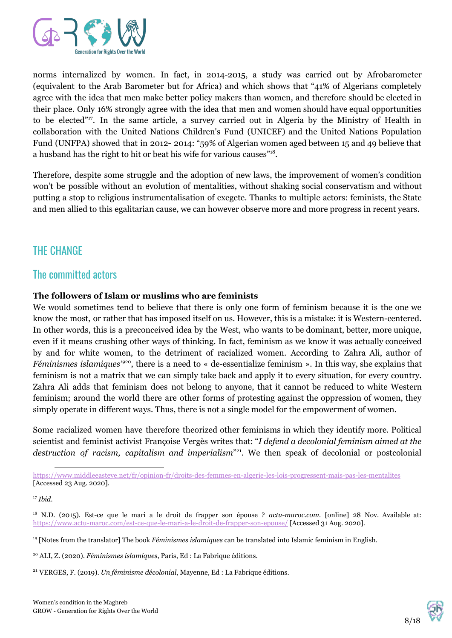

norms internalized by women. In fact, in 2014-2015, a study was carried out by Afrobarometer (equivalent to the Arab Barometer but for Africa) and which shows that "41% of Algerians completely agree with the idea that men make better policy makers than women, and therefore should be elected in their place. Only 16% strongly agree with the idea that men and women should have equal opportunities to be elected"<sup>17</sup>. In the same article, a survey carried out in Algeria by the Ministry of Health in collaboration with the United Nations Children's Fund (UNICEF) and the United Nations Population Fund (UNFPA) showed that in 2012- 2014: "59% of Algerian women aged between 15 and 49 believe that a husband has the right to hit or beat his wife for various causes"<sup>18</sup>.

Therefore, despite some struggle and the adoption of new laws, the improvement of women's condition won't be possible without an evolution of mentalities, without shaking social conservatism and without putting a stop to religious instrumentalisation of exegete. Thanks to multiple actors: feminists, the State and men allied to this egalitarian cause, we can however observe more and more progress in recent years.

## THE CHANGE

## The committed actors

#### **The followers of Islam or muslims who are feminists**

We would sometimes tend to believe that there is only one form of feminism because it is the one we know the most, or rather that has imposed itself on us. However, this is a mistake: it is Western-centered. In other words, this is a preconceived idea by the West, who wants to be dominant, better, more unique, even if it means crushing other ways of thinking. In fact, feminism as we know it was actually conceived by and for white women, to the detriment of racialized women. According to Zahra Ali, author of *Féminismes islamiques<sup>1920</sup>*, there is a need to « de-essentialize feminism ». In this way, she explains that feminism is not a matrix that we can simply take back and apply it to every situation, for every country. Zahra Ali adds that feminism does not belong to anyone, that it cannot be reduced to white Western feminism; around the world there are other forms of protesting against the oppression of women, they simply operate in different ways. Thus, there is not a single model for the empowerment of women.

Some racialized women have therefore theorized other feminisms in which they identify more. Political scientist and feminist activist Françoise Vergès writes that: "*I defend a decolonial feminism aimed at the* destruction of racism, capitalism and imperialism<sup>"21</sup>. We then speak of decolonial or postcolonial



<https://www.middleeasteye.net/fr/opinion-fr/droits-des-femmes-en-algerie-les-lois-progressent-mais-pas-les-mentalites> [Accessed 23 Aug. 2020].

<sup>17</sup> *Ibid*.

<sup>18</sup> N.D. (2015). Est-ce que le mari a le droit de frapper son épouse ? *actu-maroc.com.* [online] 28 Nov. Available at: <https://www.actu-maroc.com/est-ce-que-le-mari-a-le-droit-de-frapper-son-epouse/> [Accessed 31 Aug. 2020].

<sup>19</sup> [Notes from the translator] The book *Féminismes islamiques* can be translated into Islamic feminism in English.

<sup>20</sup> ALI, Z. (2020). *Féminismes islamiques*, Paris, Ed : La Fabrique éditions.

<sup>21</sup> VERGES, F. (2019). *Un féminisme décolonial*, Mayenne, Ed : La Fabrique éditions.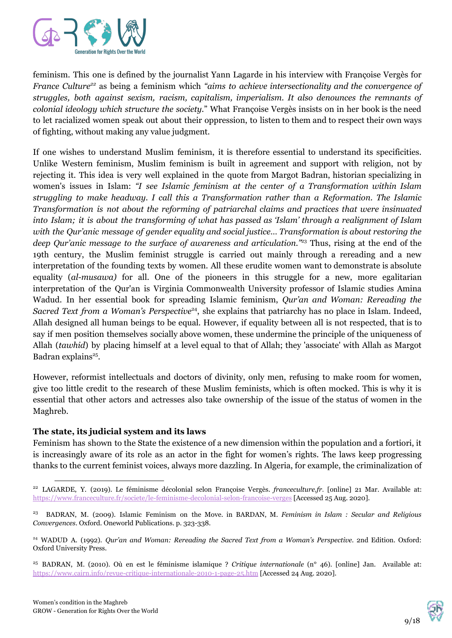

feminism. This one is defined by the journalist Yann Lagarde in his interview with Françoise Vergès for *France Culture<sup>22</sup>* as being a feminism which "aims to achieve intersectionality and the convergence of *struggles, both against sexism, racism, capitalism, imperialism. It also denounces the remnants of colonial ideology which structure the society.*" What Françoise Vergès insists on in her book is the need to let racialized women speak out about their oppression, to listen to them and to respect their own ways of fighting, without making any value judgment.

If one wishes to understand Muslim feminism, it is therefore essential to understand its specificities. Unlike Western feminism, Muslim feminism is built in agreement and support with religion, not by rejecting it. This idea is very well explained in the quote from Margot Badran, historian specializing in women's issues in Islam: *"I see Islamic feminism at the center of a Transformation within Islam struggling to make headway. I call this a Transformation rather than a Reformation. The Islamic Transformation is not about the reforming of patriarchal claims and practices that were insinuated* into Islam; it is about the transforming of what has passed as 'Islam' through a realignment of Islam *with the Qur'anic message of gender equality and social justice… Transformation is about restoring the* deep Qur'anic message to the surface of awareness and articulation."<sup>23</sup> Thus, rising at the end of the 19th century, the Muslim feminist struggle is carried out mainly through a rereading and a new interpretation of the founding texts by women. All these erudite women want to demonstrate is absolute equality (*al-musawa)* for all. One of the pioneers in this struggle for a new, more egalitarian interpretation of the Qur'an is Virginia Commonwealth University professor of Islamic studies Amina Wadud. In her essential book for spreading Islamic feminism, *Qur'an and Woman: Rereading the Sacred Text from a Woman's Perspective<sup>24</sup>, she explains that patriarchy has no place in Islam. Indeed,* Allah designed all human beings to be equal. However, if equality between all is not respected, that is to say if men position themselves socially above women, these undermine the principle of the uniqueness of Allah (*tawhid*) by placing himself at a level equal to that of Allah; they 'associate' with Allah as Margot Badran explains<sup>25</sup>.

However, reformist intellectuals and doctors of divinity, only men, refusing to make room for women, give too little credit to the research of these Muslim feminists, which is often mocked. This is why it is essential that other actors and actresses also take ownership of the issue of the status of women in the Maghreb.

#### **The state, its judicial system and its laws**

Feminism has shown to the State the existence of a new dimension within the population and a fortiori, it is increasingly aware of its role as an actor in the fight for women's rights. The laws keep progressing thanks to the current feminist voices, always more dazzling. In Algeria, for example, the criminalization of



<sup>22</sup> LAGARDE, Y. (2019). Le féminisme décolonial selon Françoise Vergès. *franceculture.fr*. [online] 21 Mar. Available at: <https://www.franceculture.fr/societe/le-feminisme-decolonial-selon-francoise-verges> [Accessed 25 Aug. 2020].

<sup>23</sup> BADRAN, M. (2009). Islamic Feminism on the Move. in BARDAN, M. *Feminism in Islam : Secular and Religious Convergences*. Oxford. Oneworld Publications. p. 323-338.

<sup>24</sup> WADUD A. (1992). *Qur'an and Woman: Rereading the Sacred Text from a Woman's Perspective*. 2nd Edition. Oxford: Oxford University Press.

<sup>25</sup> BADRAN, M. (2010). Où en est le féminisme islamique ? *Critique internationale* (n° 46). [online] Jan. Available at: <https://www.cairn.info/revue-critique-internationale-2010-1-page-25.htm> [Accessed 24 Aug. 2020].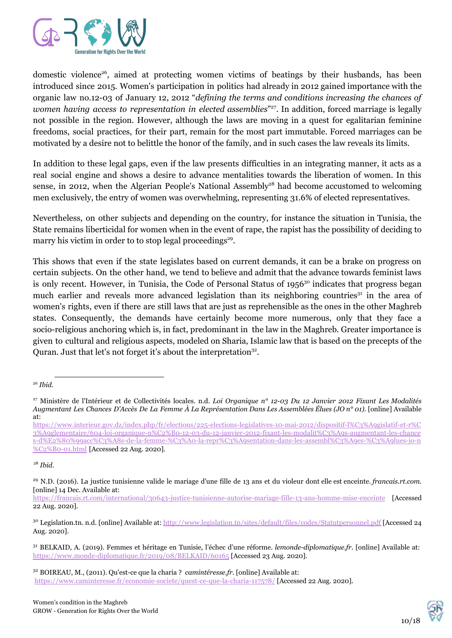

domestic violence<sup>26</sup>, aimed at protecting women victims of beatings by their husbands, has been introduced since 2015. Women's participation in politics had already in 2012 gained importance with the organic law no.12-03 of January 12, 2012 "*defining the terms and conditions increasing the chances of* women *having* access to representation in elected assemblies<sup>"27</sup>. In addition, forced marriage is legally not possible in the region. However, although the laws are moving in a quest for egalitarian feminine freedoms, social practices, for their part, remain for the most part immutable. Forced marriages can be motivated by a desire not to belittle the honor of the family, and in such cases the law reveals its limits.

In addition to these legal gaps, even if the law presents difficulties in an integrating manner, it acts as a real social engine and shows a desire to advance mentalities towards the liberation of women. In this sense, in 2012, when the Algerian People's National Assembly<sup>28</sup> had become accustomed to welcoming men exclusively, the entry of women was overwhelming, representing 31.6% of elected representatives.

Nevertheless, on other subjects and depending on the country, for instance the situation in Tunisia, the State remains liberticidal for women when in the event of rape, the rapist has the possibility of deciding to marry his victim in order to to stop legal proceedings<sup>29</sup>.

This shows that even if the state legislates based on current demands, it can be a brake on progress on certain subjects. On the other hand, we tend to believe and admit that the advance towards feminist laws is only recent. However, in Tunisia, the Code of Personal Status of 1956<sup>30</sup> indicates that progress began much earlier and reveals more advanced legislation than its neighboring countries<sup>31</sup> in the area of women's rights, even if there are still laws that are just as reprehensible as the ones in the other Maghreb states. Consequently, the demands have certainly become more numerous, only that they face a socio-religious anchoring which is, in fact, predominant in the law in the Maghreb. Greater importance is given to cultural and religious aspects, modeled on Sharia, Islamic law that is based on the precepts of the Quran. Just that let's not forget it's about the interpretation<sup>32</sup>.

28 *Ibid*.



<sup>26</sup> *Ibid*.

<sup>27</sup> Ministère de l'Intérieur et de Collectivités locales. n.d. *Loi Organique n° 12-03 Du 12 Janvier 2012 Fixant Les Modalités* Augmentant Les Chances D'Accès De La Femme À La Représentation Dans Les Assemblées Élues (JO n° 01). [online] Available at:

[https://www.interieur.gov.dz/index.php/fr/elections/225-elections-legislatives-10-mai-2012/dispositif-l%C3%A9gislatif-et-r%C](https://www.interieur.gov.dz/index.php/fr/elections/225-elections-legislatives-10-mai-2012/dispositif-l%C3%A9gislatif-et-r%C3%A9glementaire/604-loi-organique-n%C2%B0-12-03-du-12-janvier-2012-fixant-les-modalit%C3%A9s-augmentant-les-chances-d%E2%80%99acc%C3%A8s-de-la-femme-%C3%A0-la-repr%C3%A9sentation-dans-les-assembl%C3%A9es-%C3%A9lues-jo-n%C2%B0-01.html) [3%A9glementaire/604-loi-organique-n%C2%B0-12-03-du-12-janvier-2012-fixant-les-modalit%C3%A9s-augmentant-les-chance](https://www.interieur.gov.dz/index.php/fr/elections/225-elections-legislatives-10-mai-2012/dispositif-l%C3%A9gislatif-et-r%C3%A9glementaire/604-loi-organique-n%C2%B0-12-03-du-12-janvier-2012-fixant-les-modalit%C3%A9s-augmentant-les-chances-d%E2%80%99acc%C3%A8s-de-la-femme-%C3%A0-la-repr%C3%A9sentation-dans-les-assembl%C3%A9es-%C3%A9lues-jo-n%C2%B0-01.html) [s-d%E2%80%99acc%C3%A8s-de-la-femme-%C3%A0-la-repr%C3%A9sentation-dans-les-assembl%C3%A9es-%C3%A9lues-jo-n](https://www.interieur.gov.dz/index.php/fr/elections/225-elections-legislatives-10-mai-2012/dispositif-l%C3%A9gislatif-et-r%C3%A9glementaire/604-loi-organique-n%C2%B0-12-03-du-12-janvier-2012-fixant-les-modalit%C3%A9s-augmentant-les-chances-d%E2%80%99acc%C3%A8s-de-la-femme-%C3%A0-la-repr%C3%A9sentation-dans-les-assembl%C3%A9es-%C3%A9lues-jo-n%C2%B0-01.html) [%C2%B0-01.html](https://www.interieur.gov.dz/index.php/fr/elections/225-elections-legislatives-10-mai-2012/dispositif-l%C3%A9gislatif-et-r%C3%A9glementaire/604-loi-organique-n%C2%B0-12-03-du-12-janvier-2012-fixant-les-modalit%C3%A9s-augmentant-les-chances-d%E2%80%99acc%C3%A8s-de-la-femme-%C3%A0-la-repr%C3%A9sentation-dans-les-assembl%C3%A9es-%C3%A9lues-jo-n%C2%B0-01.html) [Accessed 22 Aug. 2020].

<sup>29</sup> N.D. (2016). La justice tunisienne valide le mariage d'une fille de 13 ans et du violeur dont elle est enceinte. *francais.rt.com.* [online] 14 Dec. Available at:

<https://francais.rt.com/international/30643-justice-tunisienne-autorise-mariage-fille-13-ans-homme-mise-enceinte> [Accessed 22 Aug. 2020].

<sup>30</sup> Legislation.tn. n.d. [online] Available at: <http://www.legislation.tn/sites/default/files/codes/Statutpersonnel.pdf> [Accessed 24 Aug. 2020].

<sup>31</sup> BELKAID, A. (2019). Femmes et héritage en Tunisie, l'échec d'une réforme. *lemonde-diplomatique.fr*. [online] Available at: <https://www.monde-diplomatique.fr/2019/08/BELKAID/60165> [Accessed 23 Aug. 2020].

<sup>32</sup> BOIREAU, M., (2011). Qu'est-ce que la charia ? *camintéresse.fr*. [online] Available at: <https://www.caminteresse.fr/economie-societe/quest-ce-que-la-charia-117578/> [Accessed 22 Aug. 2020].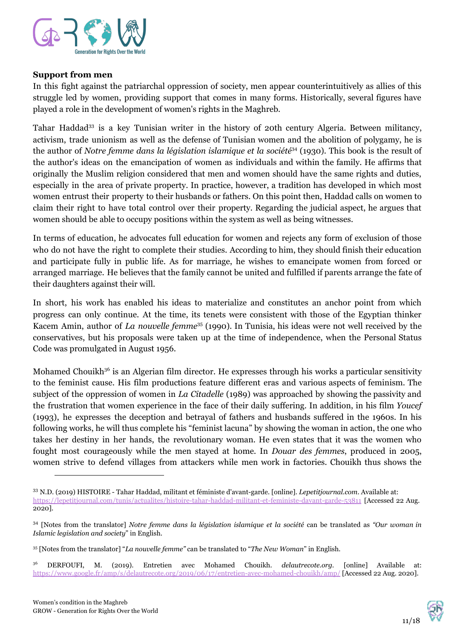

#### **Support from men**

In this fight against the patriarchal oppression of society, men appear counterintuitively as allies of this struggle led by women, providing support that comes in many forms. Historically, several figures have played a role in the development of women's rights in the Maghreb.

Tahar Haddad<sup>33</sup> is a key Tunisian writer in the history of 20th century Algeria. Between militancy, activism, trade unionism as well as the defense of Tunisian women and the abolition of polygamy, he is the author of *Notre femme dans la législation islamique et la société<sup>34</sup> (1930). This book is the result of* the author's ideas on the emancipation of women as individuals and within the family. He affirms that originally the Muslim religion considered that men and women should have the same rights and duties, especially in the area of private property. In practice, however, a tradition has developed in which most women entrust their property to their husbands or fathers. On this point then, Haddad calls on women to claim their right to have total control over their property. Regarding the judicial aspect, he argues that women should be able to occupy positions within the system as well as being witnesses.

In terms of education, he advocates full education for women and rejects any form of exclusion of those who do not have the right to complete their studies. According to him, they should finish their education and participate fully in public life. As for marriage, he wishes to emancipate women from forced or arranged marriage. He believes that the family cannot be united and fulfilled if parents arrange the fate of their daughters against their will.

In short, his work has enabled his ideas to materialize and constitutes an anchor point from which progress can only continue. At the time, its tenets were consistent with those of the Egyptian thinker Kacem Amin, author of *La nouvelle femme*<sup>35</sup> (1990). In Tunisia, his ideas were not well received by the conservatives, but his proposals were taken up at the time of independence, when the Personal Status Code was promulgated in August 1956.

Mohamed Chouikh<sup>36</sup> is an Algerian film director. He expresses through his works a particular sensitivity to the feminist cause. His film productions feature different eras and various aspects of feminism. The subject of the oppression of women in *La Citadelle* (1989) was approached by showing the passivity and the frustration that women experience in the face of their daily suffering. In addition, in his film *Youcef* (1993), he expresses the deception and betrayal of fathers and husbands suffered in the 1960s. In his following works, he will thus complete his "feminist lacuna" by showing the woman in action, the one who takes her destiny in her hands, the revolutionary woman. He even states that it was the women who fought most courageously while the men stayed at home. In *Douar des femmes*, produced in 2005, women strive to defend villages from attackers while men work in factories. Chouikh thus shows the



<sup>33</sup> N.D. (2019) HISTOIRE - Tahar Haddad, militant et féministe d'avant-garde. [online]. *Lepetitjournal.com*. Available at: <https://lepetitjournal.com/tunis/actualites/histoire-tahar-haddad-militant-et-feministe-davant-garde-53811> [Accessed 22 Aug. 2020].

<sup>34</sup> [Notes from the translator] *Notre femme dans la législation islamique et la société* can be translated as *"Our woman in Islamic legislation and society*" in English.

<sup>35</sup> [Notes from the translator] "*La nouvelle femme"* can be translated to "*The New Woman*" in English.

<sup>36</sup> DERFOUFI, M. (2019). Entretien avec Mohamed Chouikh. *delautrecote.org.* [online] Available at: <https://www.google.fr/amp/s/delautrecote.org/2019/06/17/entretien-avec-mohamed-chouikh/amp/> [Accessed 22 Aug. 2020].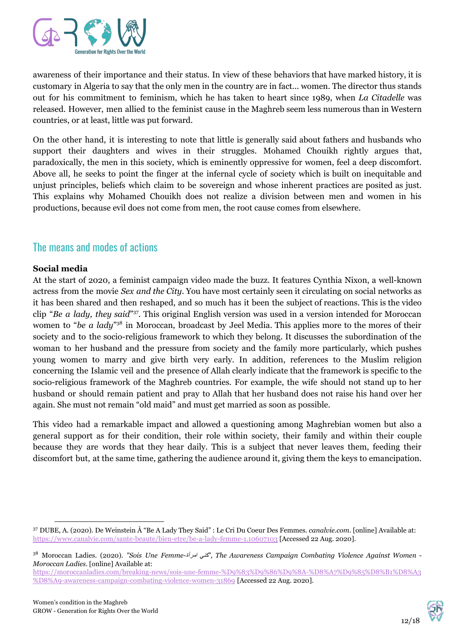

awareness of their importance and their status. In view of these behaviors that have marked history, it is customary in Algeria to say that the only men in the country are in fact... women. The director thus stands out for his commitment to feminism, which he has taken to heart since 1989, when *La Citadelle* was released. However, men allied to the feminist cause in the Maghreb seem less numerous than in Western countries, or at least, little was put forward.

On the other hand, it is interesting to note that little is generally said about fathers and husbands who support their daughters and wives in their struggles. Mohamed Chouikh rightly argues that, paradoxically, the men in this society, which is eminently oppressive for women, feel a deep discomfort. Above all, he seeks to point the finger at the infernal cycle of society which is built on inequitable and unjust principles, beliefs which claim to be sovereign and whose inherent practices are posited as just. This explains why Mohamed Chouikh does not realize a division between men and women in his productions, because evil does not come from men, the root cause comes from elsewhere.

## The means and modes of actions

#### **Social media**

At the start of 2020, a feminist campaign video made the buzz. It features Cynthia Nixon, a well-known actress from the movie *Sex and the City*. You have most certainly seen it circulating on social networks as it has been shared and then reshaped, and so much has it been the subject of reactions. This is the video clip "Be a lady, they said"<sup>37</sup>. This original English version was used in a version intended for Moroccan women to "be a lady"<sup>38</sup> in Moroccan, broadcast by Jeel Media. This applies more to the mores of their society and to the socio-religious framework to which they belong. It discusses the subordination of the woman to her husband and the pressure from society and the family more particularly, which pushes young women to marry and give birth very early. In addition, references to the Muslim religion concerning the Islamic veil and the presence of Allah clearly indicate that the framework is specific to the socio-religious framework of the Maghreb countries. For example, the wife should not stand up to her husband or should remain patient and pray to Allah that her husband does not raise his hand over her again. She must not remain "old maid" and must get married as soon as possible.

This video had a remarkable impact and allowed a questioning among Maghrebian women but also a general support as for their condition, their role within society, their family and within their couple because they are words that they hear daily. This is a subject that never leaves them, feeding their discomfort but, at the same time, gathering the audience around it, giving them the keys to emancipation.



<sup>37</sup> DUBE, A. (2020). De Weinstein À "Be A Lady They Said" : Le Cri Du Coeur Des Femmes. *canalvie.com*. [online] Available at: <https://www.canalvie.com/sante-beaute/bien-etre/be-a-lady-femme-1.10607103> [Accessed 22 Aug. 2020].

<sup>38</sup> Moroccan Ladies. (2020). *"Sois Une Femme-*امرأة كني*", The Awareness Campaign Combating Violence Against Women - Moroccan Ladies*. [online] Available at:

[https://moroccanladies.com/breaking-news/sois-une-femme-%D9%83%D9%86%D9%8A-%D8%A7%D9%85%D8%B1%D8%A3](https://moroccanladies.com/breaking-news/sois-une-femme-%D9%83%D9%86%D9%8A-%D8%A7%D9%85%D8%B1%D8%A3%D8%A9-awareness-campaign-combating-violence-women-31869) [%D8%A9-awareness-campaign-combating-violence-women-31869](https://moroccanladies.com/breaking-news/sois-une-femme-%D9%83%D9%86%D9%8A-%D8%A7%D9%85%D8%B1%D8%A3%D8%A9-awareness-campaign-combating-violence-women-31869) [Accessed 22 Aug. 2020].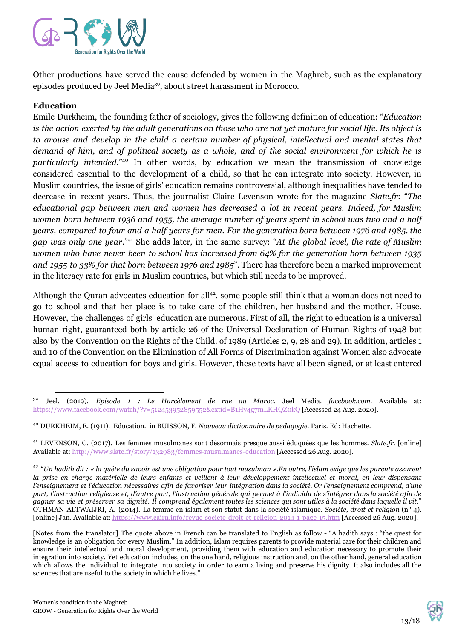

Other productions have served the cause defended by women in the Maghreb, such as the explanatory episodes produced by Jeel Media<sup>39</sup>, about street harassment in Morocco.

#### **Education**

Emile Durkheim, the founding father of sociology, gives the following definition of education: "*Education* is the action exerted by the adult generations on those who are not yet mature for social life. Its object is *to arouse and develop in the child a certain number of physical, intellectual and mental states that* demand of him, and of political society as a whole, and of the social environment for which he is particularly intended."<sup>40</sup> In other words, by education we mean the transmission of knowledge considered essential to the development of a child, so that he can integrate into society. However, in Muslim countries, the issue of girls' education remains controversial, although inequalities have tended to decrease in recent years. Thus, the journalist Claire Levenson wrote for the magazine *Slate.fr*: "*The educational gap between men and women has decreased a lot in recent years. Indeed, for Muslim* women born between 1936 and 1955, the average number of years spent in school was two and a half years, compared to four and a half years for men. For the generation born between 1976 and 1985, the *gap was only one year.*" <sup>41</sup> She adds later, in the same survey: "*At the global level, the rate of Muslim women who have never been to school has increased from 64% for the generation born between 1935 and 1955 to 33% for that born between 1976 and 1985*". There has therefore been a marked improvement in the literacy rate for girls in Muslim countries, but which still needs to be improved.

Although the Quran advocates education for all<sup>42</sup>, some people still think that a woman does not need to go to school and that her place is to take care of the children, her husband and the mother. House. However, the challenges of girls' education are numerous. First of all, the right to education is a universal human right, guaranteed both by article 26 of the Universal Declaration of Human Rights of 1948 but also by the Convention on the Rights of the Child. of 1989 (Articles 2, 9, 28 and 29). In addition, articles 1 and 10 of the Convention on the Elimination of All Forms of Discrimination against Women also advocate equal access to education for boys and girls. However, these texts have all been signed, or at least entered



<sup>39</sup> Jeel. (2019). *Episode 1 : Le Harcèlement de rue au Maroc.* Jeel Media. *facebook.com*. Available at: <https://www.facebook.com/watch/?v=512453952859552&extid=B1Hy4g7mLKHQZ0kQ> [Accessed 24 Aug. 2020].

<sup>40</sup> DURKHEIM, E. (1911). Education. in BUISSON, F. *Nouveau dictionnaire de pédagogie*. Paris. Ed: Hachette.

<sup>41</sup> LEVENSON, C. (2017). Les femmes musulmanes sont désormais presque aussi éduquées que les hommes. *Slate.fr.* [online] Available at:<http://www.slate.fr/story/132983/femmes-musulmanes-education> [Accessed 26 Aug. 2020].

 $^{42}$  "Un hadith dit : « la quête du savoir est une obligation pour tout musulman ».En outre, l'islam exige que les parents assurent la prise en charge matérielle de leurs enfants et veillent à leur développement intellectuel et moral, en leur dispensant l'enseignement et l'éducation nécessaires afin de favoriser leur intégration dans la société. Or l'enseignement comprend, d'une part, l'instruction religieuse et, d'autre part, l'instruction générale qui permet à l'individu de s'intégrer dans la société afin de gagner sa vie et préserver sa dignité. Il comprend également toutes les sciences qui sont utiles à la société dans laquelle il vit." OTHMAN ALTWAIJRI, A. (2014). La femme en islam et son statut dans la société islamique. *Société, droit et religion* (n° 4). [online] Jan. Available at: <https://www.cairn.info/revue-societe-droit-et-religion-2014-1-page-15.htm> [Accessed 26 Aug. 2020].

<sup>[</sup>Notes from the translator] The quote above in French can be translated to English as follow - "A hadith says : "the quest for knowledge is an obligation for every Muslim." In addition, Islam requires parents to provide material care for their children and ensure their intellectual and moral development, providing them with education and education necessary to promote their integration into society. Yet education includes, on the one hand, religious instruction and, on the other hand, general education which allows the individual to integrate into society in order to earn a living and preserve his dignity. It also includes all the sciences that are useful to the society in which he lives."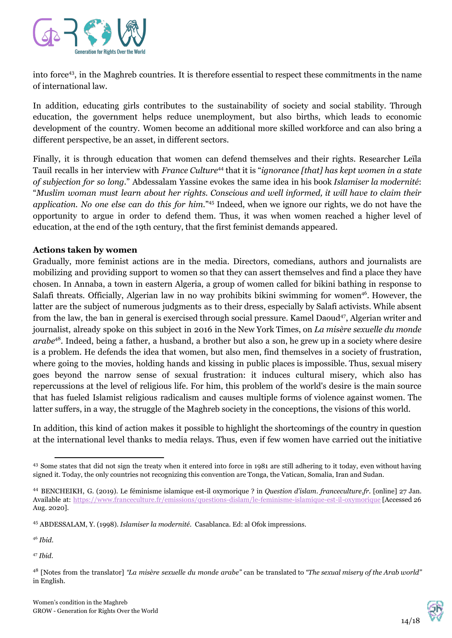

into force<sup>43</sup>, in the Maghreb countries. It is therefore essential to respect these commitments in the name of international law.

In addition, educating girls contributes to the sustainability of society and social stability. Through education, the government helps reduce unemployment, but also births, which leads to economic development of the country. Women become an additional more skilled workforce and can also bring a different perspective, be an asset, in different sectors.

Finally, it is through education that women can defend themselves and their rights. Researcher Leïla Tauil recalls in her interview with *France Culture*<sup>44</sup> that it is "*ignorance [that] has kept women in a state of subjection for so long.*" Abdessalam Yassine evokes the same idea in his book *Islamiser la modernité*: "*Muslim woman must learn about her rights. Conscious and well informed, it will have to claim their* application. No one else can do this for him."<sup>45</sup> Indeed, when we ignore our rights, we do not have the opportunity to argue in order to defend them. Thus, it was when women reached a higher level of education, at the end of the 19th century, that the first feminist demands appeared.

#### **Actions taken by women**

Gradually, more feminist actions are in the media. Directors, comedians, authors and journalists are mobilizing and providing support to women so that they can assert themselves and find a place they have chosen. In Annaba, a town in eastern Algeria, a group of women called for bikini bathing in response to Salafi threats. Officially, Algerian law in no way prohibits bikini swimming for women<sup>46</sup>. However, the latter are the subject of numerous judgments as to their dress, especially by Salafi activists. While absent from the law, the ban in general is exercised through social pressure. Kamel Daoud<sup>47</sup>, Algerian writer and journalist, already spoke on this subject in 2016 in the New York Times, on *La misère sexuelle du monde* arabe<sup>48</sup>. Indeed, being a father, a husband, a brother but also a son, he grew up in a society where desire is a problem. He defends the idea that women, but also men, find themselves in a society of frustration, where going to the movies, holding hands and kissing in public places is impossible. Thus, sexual misery goes beyond the narrow sense of sexual frustration: it induces cultural misery, which also has repercussions at the level of religious life. For him, this problem of the world's desire is the main source that has fueled Islamist religious radicalism and causes multiple forms of violence against women. The latter suffers, in a way, the struggle of the Maghreb society in the conceptions, the visions of this world.

In addition, this kind of action makes it possible to highlight the shortcomings of the country in question at the international level thanks to media relays. Thus, even if few women have carried out the initiative

47 *Ibid*.



<sup>&</sup>lt;sup>43</sup> Some states that did not sign the treaty when it entered into force in 1981 are still adhering to it today, even without having signed it. Today, the only countries not recognizing this convention are Tonga, the Vatican, Somalia, Iran and Sudan.

<sup>44</sup> BENCHEIKH, G. (2019). Le féminisme islamique est-il oxymorique ? in *Question d'islam*. *franceculture.fr.* [online] 27 Jan. Available at: h[ttps://www.franceculture.fr/emissions/questions-dislam/le-feminisme-islamique-est-il-oxymorique](https://www.franceculture.fr/emissions/questions-dislam/le-feminisme-islamique-est-il-oxymorique) [Accessed 26 Aug. 2020].

<sup>45</sup> ABDESSALAM, Y. (1998). *Islamiser la modernité.* Casablanca. Ed: al Ofok impressions.

<sup>46</sup> *Ibid*.

<sup>48</sup> [Notes from the translator] *"La misère sexuelle du monde arabe"* can be translated to *"The sexual misery of the Arab world"* in English.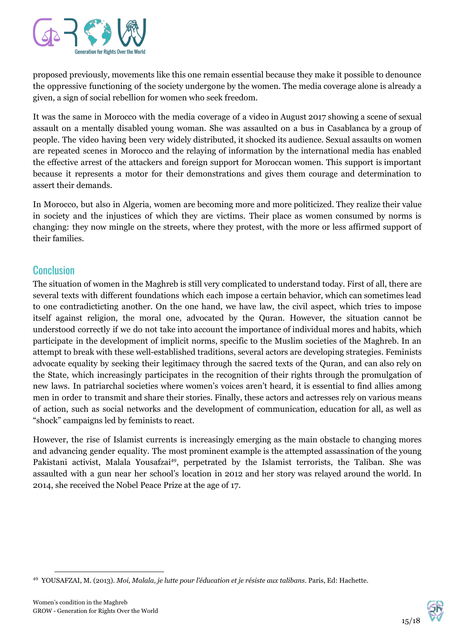

proposed previously, movements like this one remain essential because they make it possible to denounce the oppressive functioning of the society undergone by the women. The media coverage alone is already a given, a sign of social rebellion for women who seek freedom.

It was the same in Morocco with the media coverage of a video in August 2017 showing a scene of sexual assault on a mentally disabled young woman. She was assaulted on a bus in Casablanca by a group of people. The video having been very widely distributed, it shocked its audience. Sexual assaults on women are repeated scenes in Morocco and the relaying of information by the international media has enabled the effective arrest of the attackers and foreign support for Moroccan women. This support is important because it represents a motor for their demonstrations and gives them courage and determination to assert their demands.

In Morocco, but also in Algeria, women are becoming more and more politicized. They realize their value in society and the injustices of which they are victims. Their place as women consumed by norms is changing: they now mingle on the streets, where they protest, with the more or less affirmed support of their families.

## **Conclusion**

The situation of women in the Maghreb is still very complicated to understand today. First of all, there are several texts with different foundations which each impose a certain behavior, which can sometimes lead to one contradicticting another. On the one hand, we have law, the civil aspect, which tries to impose itself against religion, the moral one, advocated by the Quran. However, the situation cannot be understood correctly if we do not take into account the importance of individual mores and habits, which participate in the development of implicit norms, specific to the Muslim societies of the Maghreb. In an attempt to break with these well-established traditions, several actors are developing strategies. Feminists advocate equality by seeking their legitimacy through the sacred texts of the Quran, and can also rely on the State, which increasingly participates in the recognition of their rights through the promulgation of new laws. In patriarchal societies where women's voices aren't heard, it is essential to find allies among men in order to transmit and share their stories. Finally, these actors and actresses rely on various means of action, such as social networks and the development of communication, education for all, as well as "shock" campaigns led by feminists to react.

However, the rise of Islamist currents is increasingly emerging as the main obstacle to changing mores and advancing gender equality. The most prominent example is the attempted assassination of the young Pakistani activist, Malala Yousafzai<sup>49</sup>, perpetrated by the Islamist terrorists, the Taliban. She was assaulted with a gun near her school's location in 2012 and her story was relayed around the world. In 2014, she received the Nobel Peace Prize at the age of 17.



<sup>49</sup> YOUSAFZAI, M. (2013). *Moi, Malala, je lutte pour l'éducation et je résiste aux talibans*. Paris, Ed: Hachette.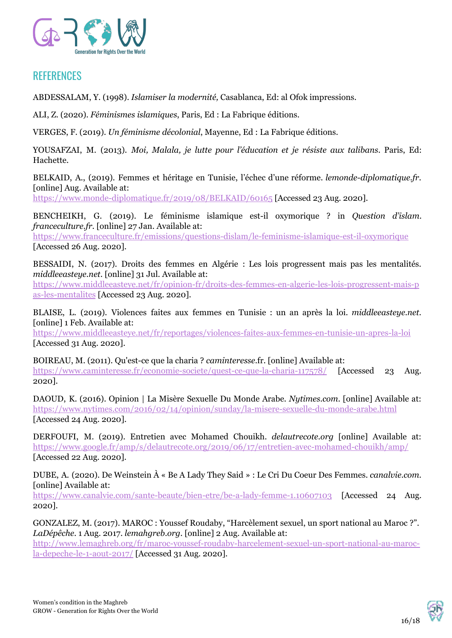

## **REFERENCES**

ABDESSALAM, Y. (1998). *Islamiser la modernité,* Casablanca, Ed: al Ofok impressions.

ALI, Z. (2020). *Féminismes islamiques*, Paris, Ed : La Fabrique éditions.

VERGES, F. (2019). *Un féminisme décolonial*, Mayenne, Ed : La Fabrique éditions.

YOUSAFZAI, M. (2013). *Moi, Malala, je lutte pour l'éducation et je résiste aux talibans*. Paris, Ed: Hachette.

BELKAID, A., (2019). Femmes et héritage en Tunisie, l'échec d'une réforme. *lemonde-diplomatique.fr*. [online] Aug. Available at:

<https://www.monde-diplomatique.fr/2019/08/BELKAID/60165> [Accessed 23 Aug. 2020].

BENCHEIKH, G. (2019). Le féminisme islamique est-il oxymorique ? in *Question d'islam*. *franceculture.fr.* [online] 27 Jan. Available at:

h[ttps://www.franceculture.fr/emissions/questions-dislam/le-feminisme-islamique-est-il-oxymorique](https://www.franceculture.fr/emissions/questions-dislam/le-feminisme-islamique-est-il-oxymorique) [Accessed 26 Aug. 2020].

BESSAIDI, N. (2017). Droits des femmes en Algérie : Les lois progressent mais pas les mentalités. *middleeasteye.net.* [online] 31 Jul. Available at:

[https://www.middleeasteye.net/fr/opinion-fr/droits-des-femmes-en-algerie-les-lois-progressent-mais-p](https://www.middleeasteye.net/fr/opinion-fr/droits-des-femmes-en-algerie-les-lois-progressent-mais-pas-les-mentalites) [as-les-mentalites](https://www.middleeasteye.net/fr/opinion-fr/droits-des-femmes-en-algerie-les-lois-progressent-mais-pas-les-mentalites) [Accessed 23 Aug. 2020].

BLAISE, L. (2019). Violences faites aux femmes en Tunisie : un an après la loi. *middleeasteye.net.* [online] 1 Feb. Available at:

<https://www.middleeasteye.net/fr/reportages/violences-faites-aux-femmes-en-tunisie-un-apres-la-loi> [Accessed 31 Aug. 2020].

BOIREAU, M. (2011). Qu'est-ce que la charia ? *caminteresse*.fr. [online] Available at: <https://www.caminteresse.fr/economie-societe/quest-ce-que-la-charia-117578/> [Accessed 23 Aug. 2020].

DAOUD, K. (2016). Opinion | La Misère Sexuelle Du Monde Arabe. *Nytimes.com*. [online] Available at: <https://www.nytimes.com/2016/02/14/opinion/sunday/la-misere-sexuelle-du-monde-arabe.html> [Accessed 24 Aug. 2020].

DERFOUFI, M. (2019). Entretien avec Mohamed Chouikh. *delautrecote.org* [online] Available at: <https://www.google.fr/amp/s/delautrecote.org/2019/06/17/entretien-avec-mohamed-chouikh/amp/> [Accessed 22 Aug. 2020].

DUBE, A. (2020). De Weinstein À « Be A Lady They Said » : Le Cri Du Coeur Des Femmes. *canalvie.com.* [online] Available at:

<https://www.canalvie.com/sante-beaute/bien-etre/be-a-lady-femme-1.10607103> [Accessed 24 Aug. 2020].

GONZALEZ, M. (2017). MAROC : Youssef Roudaby, "Harcèlement sexuel, un sport national au Maroc ?". *LaDépêche*. 1 Aug. 2017. *lemahgreb.org*. [online] 2 Aug. Available at:

[http://www.lemaghreb.org/fr/maroc-youssef-roudaby-harcelement-sexuel-un-sport-national-au-maroc](http://www.lemaghreb.org/fr/maroc-youssef-roudaby-harcelement-sexuel-un-sport-national-au-maroc-la-depeche-le-1-aout-2017/)[la-depeche-le-1-aout-2017/](http://www.lemaghreb.org/fr/maroc-youssef-roudaby-harcelement-sexuel-un-sport-national-au-maroc-la-depeche-le-1-aout-2017/) [Accessed 31 Aug. 2020].

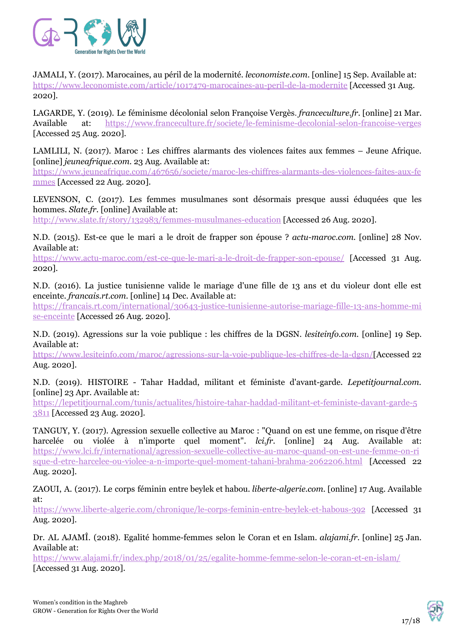

JAMALI, Y. (2017). Marocaines, au péril de la modernité. *leconomiste.com*. [online] 15 Sep. Available at: <https://www.leconomiste.com/article/1017479-marocaines-au-peril-de-la-modernite> [Accessed 31 Aug. 2020].

LAGARDE, Y. (2019). Le féminisme décolonial selon Françoise Vergès. *[franceculture.fr](https://www.franceculture.fr/societe/le-feminisme-decolonial-selon-francoise-verges)*. [online] 21 Mar. Available at: <https://www.franceculture.fr/societe/le-feminisme-decolonial-selon-francoise-verges> [Accessed 25 Aug. 2020].

LAMLILI, N. (2017). Maroc : Les chiffres alarmants des violences faites aux femmes – Jeune Afrique. [online] *jeuneafrique.com.* 23 Aug. Available at:

[https://www.jeuneafrique.com/467656/societe/maroc-les-chiffres-alarmants-des-violences-faites-aux-fe](https://www.jeuneafrique.com/467656/societe/maroc-les-chiffres-alarmants-des-violences-faites-aux-femmes) [mmes](https://www.jeuneafrique.com/467656/societe/maroc-les-chiffres-alarmants-des-violences-faites-aux-femmes) [Accessed 22 Aug. 2020].

LEVENSON, C. (2017). Les femmes musulmanes sont désormais presque aussi éduquées que les hommes. *Slate.fr.* [online] Available at:

<http://www.slate.fr/story/132983/femmes-musulmanes-education> [Accessed 26 Aug. 2020].

N.D. (2015). Est-ce que le mari a le droit de frapper son épouse ? *actu-maroc.com.* [online] 28 Nov. Available at:

<https://www.actu-maroc.com/est-ce-que-le-mari-a-le-droit-de-frapper-son-epouse/> [Accessed 31 Aug. 2020].

N.D. (2016). La justice tunisienne valide le mariage d'une fille de 13 ans et du violeur dont elle est enceinte. *[francais.rt.com.](https://francais.rt.com/international/30643-justice-tunisienne-autorise-mariage-fille-13-ans-homme-mise-enceinte)* [online] 14 Dec. Available at:

[https://francais.rt.com/international/30643-justice-tunisienne-autorise-mariage-fille-13-ans-homme-mi](https://francais.rt.com/international/30643-justice-tunisienne-autorise-mariage-fille-13-ans-homme-mise-enceinte) [se-enceinte](https://francais.rt.com/international/30643-justice-tunisienne-autorise-mariage-fille-13-ans-homme-mise-enceinte) [Accessed 26 Aug. 2020].

N.D. (2019). Agressions sur la voie publique : les chiffres de la DGSN. *lesiteinfo.com*. [online] 19 Sep. Available at:

<https://www.lesiteinfo.com/maroc/agressions-sur-la-voie-publique-les-chiffres-de-la-dgsn/>[Accessed 22 Aug. 2020].

N.D. (2019). HISTOIRE - Tahar Haddad, militant et féministe d'avant-garde. *Lepetitjournal.com*. [online] 23 Apr. Available at:

[https://lepetitjournal.com/tunis/actualites/histoire-tahar-haddad-militant-et-feministe-davant-garde-5](https://lepetitjournal.com/tunis/actualites/histoire-tahar-haddad-militant-et-feministe-davant-garde-53811) [3811](https://lepetitjournal.com/tunis/actualites/histoire-tahar-haddad-militant-et-feministe-davant-garde-53811) [Accessed 23 Aug. 2020].

TANGUY, Y. (2017). Agression sexuelle collective au Maroc : "Quand on est une femme, on risque d'être harcelée ou violée à n'importe quel moment". *lci.fr*. [online] 24 Aug. Available at: [https://www.lci.fr/international/agression-sexuelle-collective-au-maroc-quand-on-est-une-femme-on-ri](https://www.lci.fr/international/agression-sexuelle-collective-au-maroc-quand-on-est-une-femme-on-risque-d-etre-harcelee-ou-violee-a-n-importe-quel-moment-tahani-brahma-2062206.html) [sque-d-etre-harcelee-ou-violee-a-n-importe-quel-moment-tahani-brahma-2062206.html](https://www.lci.fr/international/agression-sexuelle-collective-au-maroc-quand-on-est-une-femme-on-risque-d-etre-harcelee-ou-violee-a-n-importe-quel-moment-tahani-brahma-2062206.html) [Accessed 22 Aug. 2020].

ZAOUI, A. (2017). Le corps féminin entre beylek et habou. *liberte-algerie.com.* [online] 17 Aug. Available at:

<https://www.liberte-algerie.com/chronique/le-corps-feminin-entre-beylek-et-habous-392> [Accessed 31 Aug. 2020].

Dr. AL AJAMÎ. (2018). Egalité homme-femmes selon le Coran et en Islam. *alajami.fr.* [online] 25 Jan. Available at:

<https://www.alajami.fr/index.php/2018/01/25/egalite-homme-femme-selon-le-coran-et-en-islam/> [Accessed 31 Aug. 2020].